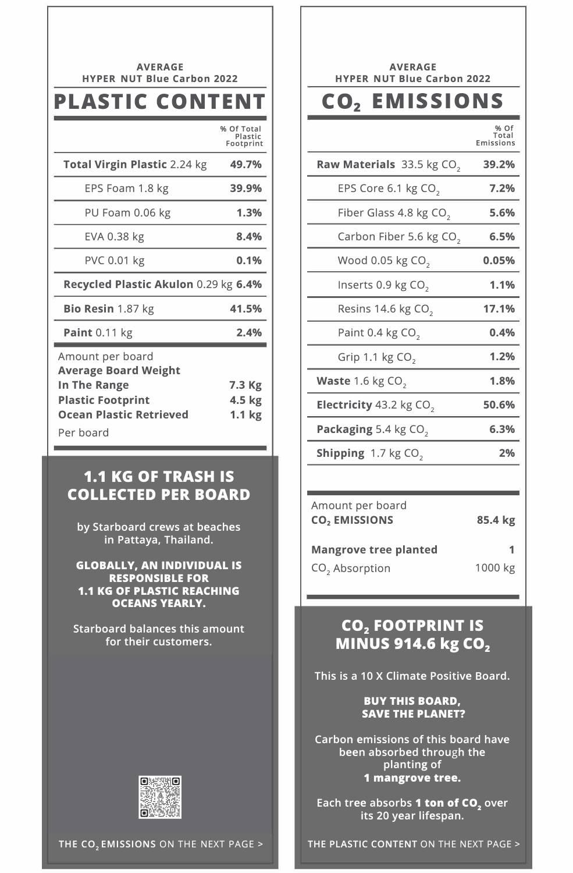| <b>AVERAGE</b><br><b>NUT Blue Carbon 2022</b><br><b>HYPER</b>                                                                              |                                       |  |
|--------------------------------------------------------------------------------------------------------------------------------------------|---------------------------------------|--|
| <b>PLASTIC CONTENT</b>                                                                                                                     |                                       |  |
|                                                                                                                                            | % Of Total<br>Plastic<br>Footprint    |  |
| <b>Total Virgin Plastic 2.24 kg</b>                                                                                                        | 49.7%                                 |  |
| EPS Foam 1.8 kg                                                                                                                            | 39.9%                                 |  |
| PU Foam 0.06 kg                                                                                                                            | 1.3%                                  |  |
| EVA 0.38 kg                                                                                                                                | 8.4%                                  |  |
| <b>PVC 0.01 kg</b>                                                                                                                         | 0.1%                                  |  |
| Recycled Plastic Akulon 0.29 kg 6.4%                                                                                                       |                                       |  |
| Bio Resin 1.87 kg                                                                                                                          | 41.5%                                 |  |
| <b>Paint 0.11 kg</b>                                                                                                                       | 2.4%                                  |  |
| Amount per board<br><b>Average Board Weight</b><br>In The Range<br><b>Plastic Footprint</b><br><b>Ocean Plastic Retrieved</b><br>Per board | 7.3 Kg<br>4.5 kg<br>1.1 <sub>kg</sub> |  |

#### **1.1 KG OF TRASH IS COLLECTED PER BOARD**

by Starboard crews at beaches in Pattaya, Thailand.

GLOBALLY. AN INDIVIDUAL IS RESPONSIBLE FOR 1.1 KG OF PLASTIC REACHING OCEANS YEARLY.

Starboard balances this amount for their customers.



AVERAGE HYPER NUT Blue Carbon 2022

# CO2 **EMISSIONS**

**% Of Total Emissions** 

| <b>Raw Materials</b> $33.5$ kg CO <sub>2</sub> | 39.2% |
|------------------------------------------------|-------|
| EPS Core 6.1 kg CO <sub>2</sub>                | 7.2%  |
| Fiber Glass 4.8 kg CO <sub>2</sub>             | 5.6%  |
| Carbon Fiber 5.6 kg CO <sub>2</sub>            | 6.5%  |
| Wood 0.05 kg CO <sub>2</sub>                   | 0.05% |
| Inserts 0.9 kg CO <sub>2</sub>                 | 1.1%  |
| Resins 14.6 kg CO <sub>2</sub>                 | 17.1% |
| Paint 0.4 kg CO <sub>2</sub>                   | 0.4%  |
| Grip 1.1 kg $CO2$                              | 1.2%  |
| Waste 1.6 kg CO <sub>2</sub>                   | 1.8%  |
| <b>Electricity</b> 43.2 kg $CO2$               | 50.6% |
| Packaging 5.4 kg CO <sub>2</sub>               | 6.3%  |
| <b>Shipping</b> $1.7$ kg CO <sub>2</sub>       | 2%    |
|                                                |       |

| Amount per board<br><b>CO<sub>2</sub></b> EMISSIONS | 85.4 kg |
|-----------------------------------------------------|---------|
| <b>Mangrove tree planted</b>                        | 1       |
| CO <sub>2</sub> Absorption                          | 1000 kg |

## **CO2 FOOTPRINT IS MINUS 914.6 kg CO<sup>2</sup>**

This is a 10 X Climate Positive Board.

#### BUY THIS BOARD. SAVE THE PLANET?

Carbon emissions of this board have been absorbed through the planting of 1 mangrove tree.

Each tree absorbs 1 ton of CO<sub>2</sub> over its 20 year lifespan.

THE PLASTIC CONTENT ON THE NEXT PAGE>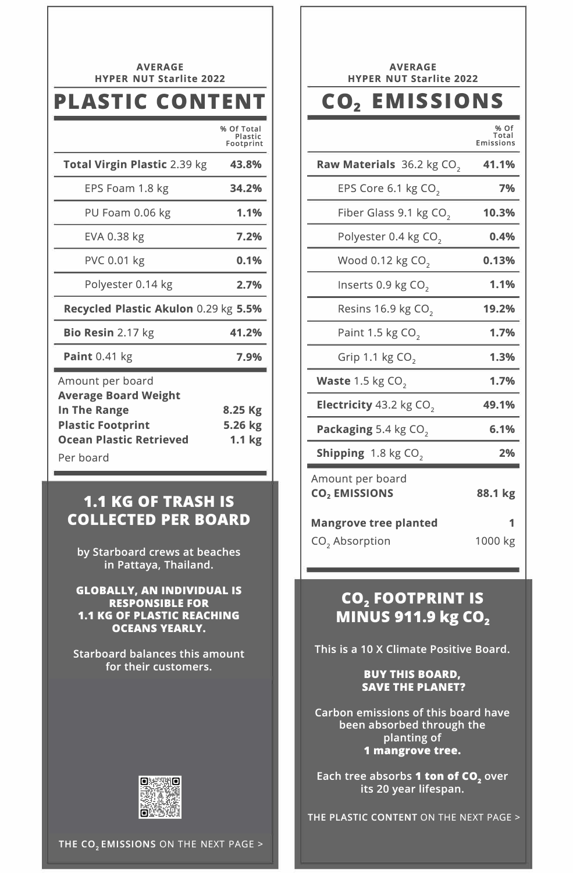| <b>AVERAGE</b><br><b>HYPER NUT Starlite 2022</b>                                                                                                  |                                         |  |
|---------------------------------------------------------------------------------------------------------------------------------------------------|-----------------------------------------|--|
| PLASTIC CONTENT                                                                                                                                   |                                         |  |
|                                                                                                                                                   | % Of Total<br>Plastic<br>Footprint      |  |
| Total Virgin Plastic 2.39 kg                                                                                                                      | 43.8%                                   |  |
| EPS Foam 1.8 kg                                                                                                                                   | 34.2%                                   |  |
| PU Foam 0.06 kg                                                                                                                                   | 1.1%                                    |  |
| EVA 0.38 kg                                                                                                                                       | 7.2%                                    |  |
| <b>PVC 0.01 kg</b>                                                                                                                                | 0.1%                                    |  |
| Polyester 0.14 kg                                                                                                                                 | 2.7%                                    |  |
| Recycled Plastic Akulon 0.29 kg 5.5%                                                                                                              |                                         |  |
| Bio Resin 2.17 kg                                                                                                                                 | 41.2%                                   |  |
| Paint 0.41 kg                                                                                                                                     | 7.9%                                    |  |
| Amount per board<br><b>Average Board Weight</b><br><b>In The Range</b><br><b>Plastic Footprint</b><br><b>Ocean Plastic Retrieved</b><br>Per board | 8.25 Kg<br>5.26 kg<br>1.1 <sub>kg</sub> |  |

#### **1.1 KG OF TRASH IS COLLECTED PER BOARD**

**by Starboard crews at beaches in Pattaya, Thailand.** 

**GLOBALLY. AN INDIVIDUAL IS RESPONSIBLE FOR 1.1 KG OF PLASTIC REACHING OCEANS YEARLY.** 

**Starboard balances this amount for their customers.** 



AVERAGE HYPER NUT Starlite 2022

# CO2 **EMISSIONS**

**% Of Total Emissions** 

| Raw Materials 36.2 kg CO <sub>2</sub>                      | 41.1%   |
|------------------------------------------------------------|---------|
| EPS Core 6.1 kg CO <sub>2</sub>                            | 7%      |
| Fiber Glass 9.1 kg CO <sub>2</sub>                         | 10.3%   |
| Polyester 0.4 kg CO <sub>2</sub>                           | 0.4%    |
| Wood 0.12 kg CO <sub>2</sub>                               | 0.13%   |
| Inserts 0.9 kg CO <sub>2</sub>                             | 1.1%    |
| Resins 16.9 kg CO <sub>2</sub>                             | 19.2%   |
| Paint 1.5 kg CO <sub>2</sub>                               | 1.7%    |
| Grip 1.1 $kgCO$ ,                                          | 1.3%    |
| <b>Waste</b> 1.5 kg $CO2$                                  | 1.7%    |
| Electricity 43.2 kg CO <sub>2</sub>                        | 49.1%   |
| Packaging 5.4 kg CO <sub>2</sub>                           | 6.1%    |
| Shipping 1.8 kg CO <sub>2</sub>                            | 2%      |
| Amount per board<br>CO <sub>2</sub> EMISSIONS              | 88.1 kg |
| <b>Mangrove tree planted</b><br>CO <sub>2</sub> Absorption | 1000 kg |

## **CO2 FOOTPRINT IS MINUS 911.9 kg CO<sup>2</sup>**

**This is a 10 X Climate Positive Board.** 

**BUY THIS BOARD, SAVE THE PLANET?** 

**Carbon emissions of this board have been absorbed through the planting of 1 mangrove tree.** 

**Each tree absorbs 1 ton of CO2 over its 20 year lifespan.**